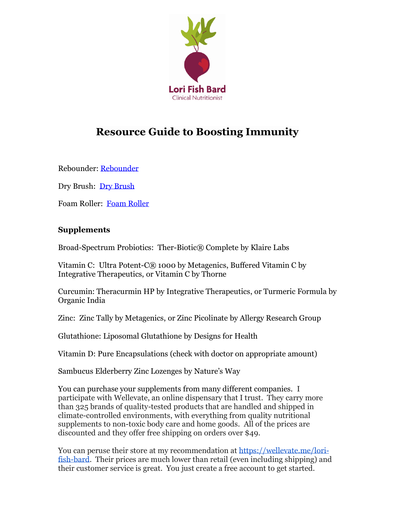

## **Resource Guide to Boosting Immunity**

Rebounder: [Rebounder](https://www.amazon.com/SereneLife-Portable-Foldable-Trampoline-Home/dp/B0774YTV59/ref=sr_1_8?dchild=1&keywords=rebounder&qid=1594334033&sr=8-8)

Dry Brush: [Dry Brush](https://www.amazon.com/Dry-Brushing-Body-Brush-Exfoliating/dp/B07DRK8N2G/ref=sr_1_4_sspa?dchild=1&keywords=dry+brush&qid=1594334193&sr=8-4-spons&psc=1&spLa=ZW5jcnlwdGVkUXVhbGlmaWVyPUEzSjE5RlNWQ1lVRzhJJmVuY3J5cHRlZElkPUEwMTgxNTk4MUNUSU9GS1A5VTJMTSZlbmNyeXB0ZWRBZElkPUEwNjk2NzA1UlpTM0U4WkROUTRVJndpZGdldE5hbWU9c3BfYXRmJmFjdGlvbj1jbGlja1JlZGlyZWN0JmRvTm90TG9nQ2xpY2s9dHJ1ZQ==)

Foam Roller: [Foam Roller](https://www.amazon.com/Yes4All-EPP-Exercise-Foam-Roller/dp/B01M0M9N4H/ref=sr_1_4_sspa?dchild=1&keywords=foam+roller&qid=1594338252&sr=8-4-spons&psc=1&spLa=ZW5jcnlwdGVkUXVhbGlmaWVyPUE1TlNBSkE2MElUVUsmZW5jcnlwdGVkSWQ9QTA0ODkwOTYyNThPQ0hWSVNaVkJUJmVuY3J5cHRlZEFkSWQ9QTAxMzUxODQxNk5UNFBBQ01DSE5CJndpZGdldE5hbWU9c3BfYXRmJmFjdGlvbj1jbGlja1JlZGlyZWN0JmRvTm90TG9nQ2xpY2s9dHJ1ZQ==) 

## **Supplements**

Broad-Spectrum Probiotics: Ther-Biotic® Complete by Klaire Labs

Vitamin C: Ultra Potent-C® 1000 by Metagenics, Buffered Vitamin C by Integrative Therapeutics, or Vitamin C by Thorne

Curcumin: Theracurmin HP by Integrative Therapeutics, or Turmeric Formula by Organic India

Zinc: Zinc Tally by Metagenics, or Zinc Picolinate by Allergy Research Group

Glutathione: Liposomal Glutathione by Designs for Health

Vitamin D: Pure Encapsulations (check with doctor on appropriate amount)

Sambucus Elderberry Zinc Lozenges by Nature's Way

You can purchase your supplements from many different companies. I participate with Wellevate, an online dispensary that I trust. They carry more than 325 brands of quality-tested products that are handled and shipped in climate-controlled environments, with everything from quality nutritional supplements to non-toxic body care and home goods. All of the prices are discounted and they offer free shipping on orders over \$49.

You can peruse their store at my recommendation at [https://wellevate.me/lori](https://wellevate.me/lori-fish-bard)[fish-bard.](https://wellevate.me/lori-fish-bard) Their prices are much lower than retail (even including shipping) and their customer service is great. You just create a free account to get started.